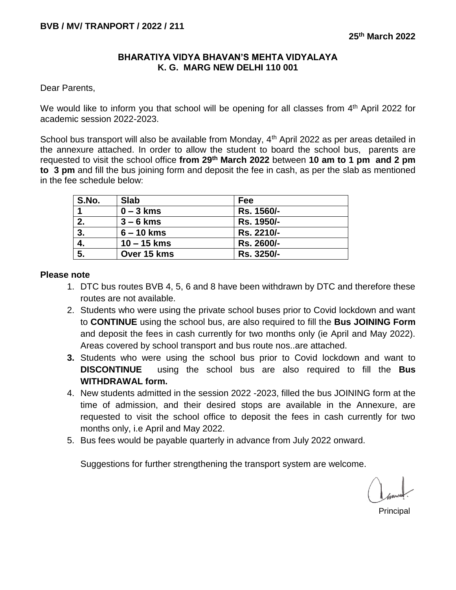## **BHARATIYA VIDYA BHAVAN'S MEHTA VIDYALAYA K. G. MARG NEW DELHI 110 001**

Dear Parents,

We would like to inform you that school will be opening for all classes from  $4<sup>th</sup>$  April 2022 for academic session 2022-2023.

School bus transport will also be available from Monday, 4<sup>th</sup> April 2022 as per areas detailed in the annexure attached. In order to allow the student to board the school bus, parents are requested to visit the school office **from 29th March 2022** between **10 am to 1 pm and 2 pm to 3 pm** and fill the bus joining form and deposit the fee in cash, as per the slab as mentioned in the fee schedule below:

| S.No. | <b>Slab</b>   | Fee        |
|-------|---------------|------------|
|       | $0 - 3$ kms   | Rs. 1560/- |
| 2.    | $3 - 6$ kms   | Rs. 1950/- |
| 3.    | $6 - 10$ kms  | Rs. 2210/- |
| 4.    | $10 - 15$ kms | Rs. 2600/- |
| 5.    | Over 15 kms   | Rs. 3250/- |

## **Please note**

- 1. DTC bus routes BVB 4, 5, 6 and 8 have been withdrawn by DTC and therefore these routes are not available.
- 2. Students who were using the private school buses prior to Covid lockdown and want to **CONTINUE** using the school bus, are also required to fill the **Bus JOINING Form** and deposit the fees in cash currently for two months only (ie April and May 2022). Areas covered by school transport and bus route nos..are attached.
- **3.** Students who were using the school bus prior to Covid lockdown and want to **DISCONTINUE** using the school bus are also required to fill the **Bus WITHDRAWAL form.**
- 4. New students admitted in the session 2022 -2023, filled the bus JOINING form at the time of admission, and their desired stops are available in the Annexure, are requested to visit the school office to deposit the fees in cash currently for two months only, i.e April and May 2022.
- 5. Bus fees would be payable quarterly in advance from July 2022 onward.

Suggestions for further strengthening the transport system are welcome.

en de la contrata de la contrata de la contrata de la contrata de la contrata de la contrata de la contrata de